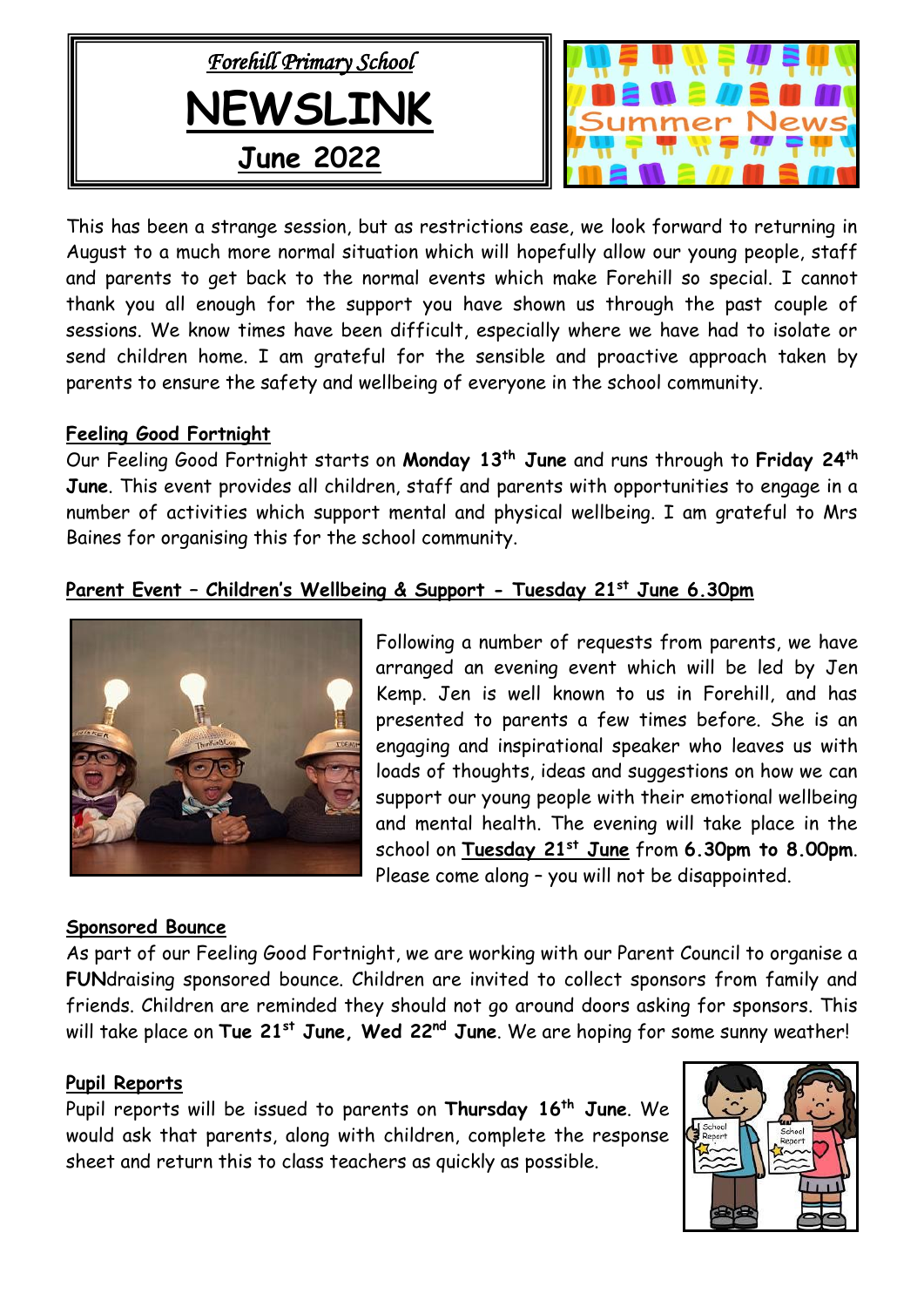



This has been a strange session, but as restrictions ease, we look forward to returning in August to a much more normal situation which will hopefully allow our young people, staff and parents to get back to the normal events which make Forehill so special. I cannot thank you all enough for the support you have shown us through the past couple of sessions. We know times have been difficult, especially where we have had to isolate or send children home. I am grateful for the sensible and proactive approach taken by parents to ensure the safety and wellbeing of everyone in the school community.

#### **Feeling Good Fortnight**

Our Feeling Good Fortnight starts on **Monday 13th June** and runs through to **Friday 24th June**. This event provides all children, staff and parents with opportunities to engage in a number of activities which support mental and physical wellbeing. I am grateful to Mrs Baines for organising this for the school community.

# **Parent Event – Children's Wellbeing & Support - Tuesday 21st June 6.30pm**



**Sponsored Bounce**

Following a number of requests from parents, we have arranged an evening event which will be led by Jen Kemp. Jen is well known to us in Forehill, and has presented to parents a few times before. She is an engaging and inspirational speaker who leaves us with loads of thoughts, ideas and suggestions on how we can support our young people with their emotional wellbeing and mental health. The evening will take place in the school on **Tuesday 21st June** from **6.30pm to 8.00pm**. Please come along – you will not be disappointed.

As part of our Feeling Good Fortnight, we are working with our Parent Council to organise a **FUN**draising sponsored bounce. Children are invited to collect sponsors from family and friends. Children are reminded they should not go around doors asking for sponsors. This will take place on **Tue 21st June, Wed 22nd June**. We are hoping for some sunny weather!

#### **Pupil Reports**

Pupil reports will be issued to parents on **Thursday 16th June**. We would ask that parents, along with children, complete the response sheet and return this to class teachers as quickly as possible.

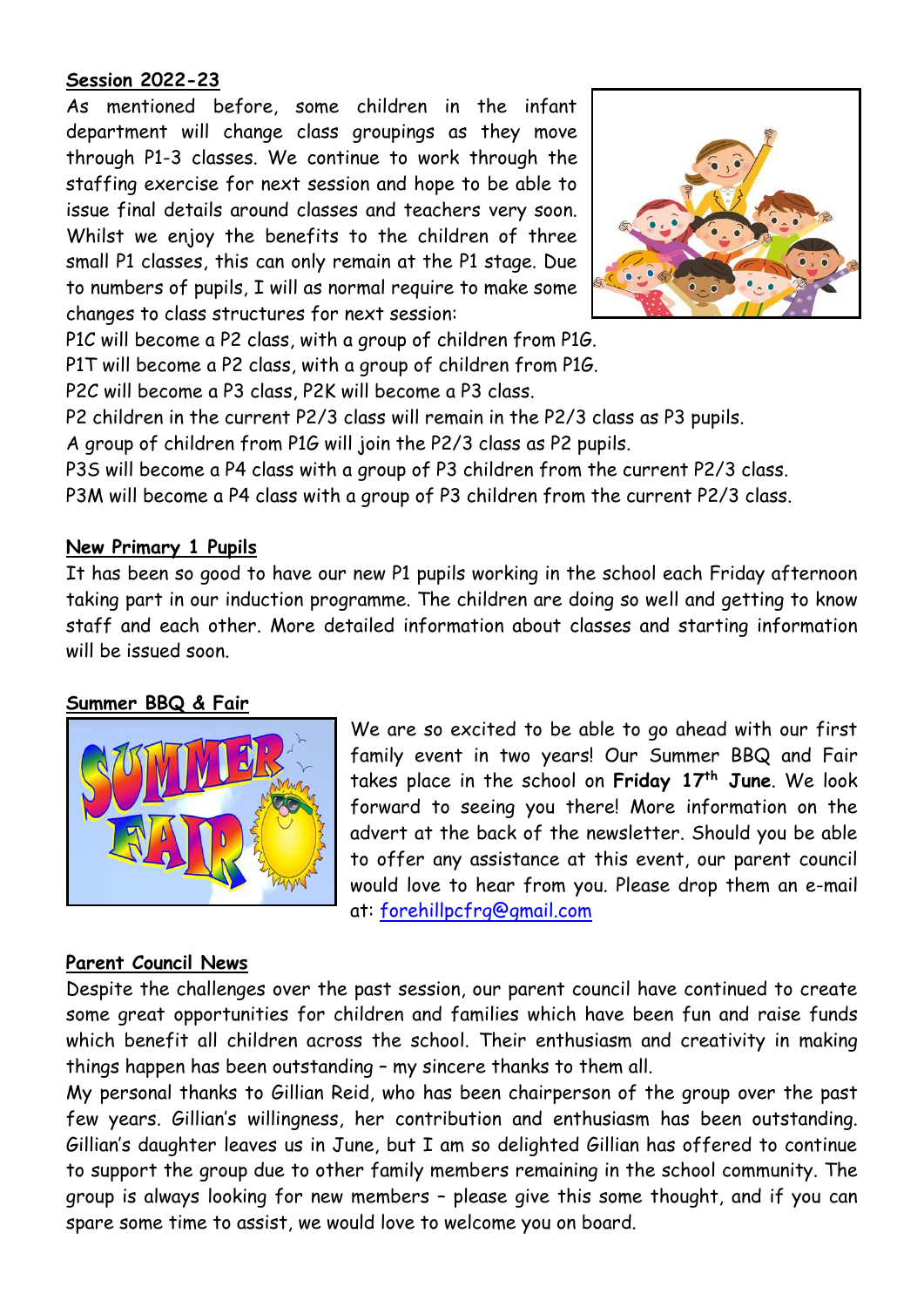# **Session 2022-23**

As mentioned before, some children in the infant department will change class groupings as they move through P1-3 classes. We continue to work through the staffing exercise for next session and hope to be able to issue final details around classes and teachers very soon. Whilst we enjoy the benefits to the children of three small P1 classes, this can only remain at the P1 stage. Due to numbers of pupils, I will as normal require to make some changes to class structures for next session:



P1C will become a P2 class, with a group of children from P1G.

P1T will become a P2 class, with a group of children from P1G.

P2C will become a P3 class, P2K will become a P3 class.

P2 children in the current P2/3 class will remain in the P2/3 class as P3 pupils.

A group of children from P1G will join the P2/3 class as P2 pupils.

P3S will become a P4 class with a group of P3 children from the current P2/3 class.

P3M will become a P4 class with a group of P3 children from the current P2/3 class.

# **New Primary 1 Pupils**

It has been so good to have our new P1 pupils working in the school each Friday afternoon taking part in our induction programme. The children are doing so well and getting to know staff and each other. More detailed information about classes and starting information will be issued soon.

# **Summer BBQ & Fair**



We are so excited to be able to go ahead with our first family event in two years! Our Summer BBQ and Fair takes place in the school on **Friday 17th June**. We look forward to seeing you there! More information on the advert at the back of the newsletter. Should you be able to offer any assistance at this event, our parent council would love to hear from you. Please drop them an e-mail at: [forehillpcfrg@gmail.com](mailto:forehillpcfrg@gmail.com)

# **Parent Council News**

Despite the challenges over the past session, our parent council have continued to create some great opportunities for children and families which have been fun and raise funds which benefit all children across the school. Their enthusiasm and creativity in making things happen has been outstanding – my sincere thanks to them all.

My personal thanks to Gillian Reid, who has been chairperson of the group over the past few years. Gillian's willingness, her contribution and enthusiasm has been outstanding. Gillian's daughter leaves us in June, but I am so delighted Gillian has offered to continue to support the group due to other family members remaining in the school community. The group is always looking for new members – please give this some thought, and if you can spare some time to assist, we would love to welcome you on board.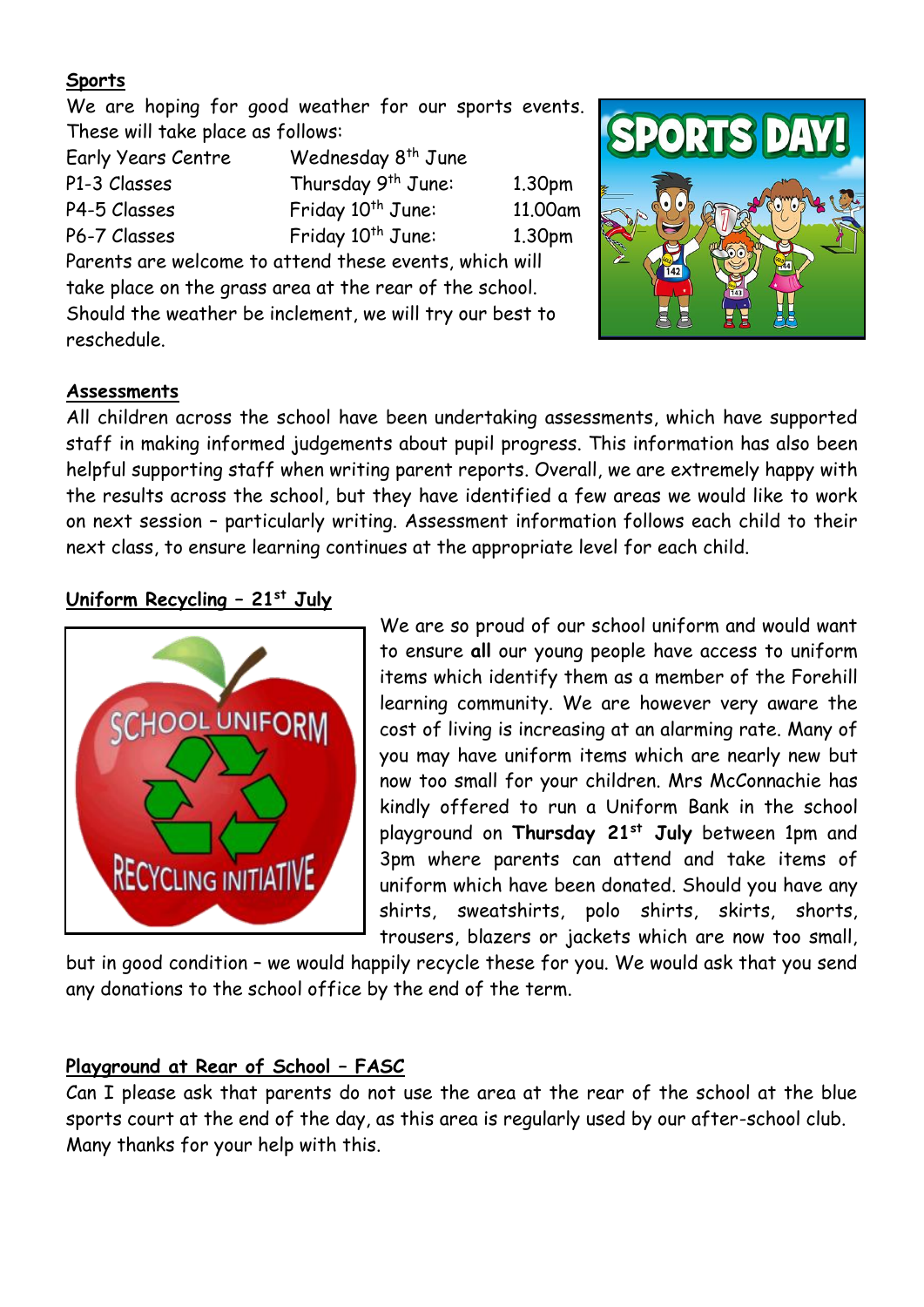# **Sports**

We are hoping for good weather for our sports events. These will take place as follows:

| Early Years Centre | Wednesday 8 <sup>th</sup> June                                                                                                                                                                                                   |                    |
|--------------------|----------------------------------------------------------------------------------------------------------------------------------------------------------------------------------------------------------------------------------|--------------------|
| P1-3 Classes       | Thursday 9 <sup>th</sup> June:                                                                                                                                                                                                   | 1.30 <sub>pm</sub> |
| P4-5 Classes       | Friday 10 <sup>th</sup> June:                                                                                                                                                                                                    | 11.00am            |
| P6-7 Classes       | Friday 10 <sup>th</sup> June:                                                                                                                                                                                                    | 1.30 <sub>pm</sub> |
| $\blacksquare$     | $\mathbf{r}$ , and the set of the set of the set of the set of the set of the set of the set of the set of the set of the set of the set of the set of the set of the set of the set of the set of the set of the set of the set |                    |

Parents are welcome to attend these events, which will take place on the grass area at the rear of the school. Should the weather be inclement, we will try our best to reschedule.



#### **Assessments**

All children across the school have been undertaking assessments, which have supported staff in making informed judgements about pupil progress. This information has also been helpful supporting staff when writing parent reports. Overall, we are extremely happy with the results across the school, but they have identified a few areas we would like to work on next session – particularly writing. Assessment information follows each child to their next class, to ensure learning continues at the appropriate level for each child.

# **Uniform Recycling – 21st July**



We are so proud of our school uniform and would want to ensure **all** our young people have access to uniform items which identify them as a member of the Forehill learning community. We are however very aware the cost of living is increasing at an alarming rate. Many of you may have uniform items which are nearly new but now too small for your children. Mrs McConnachie has kindly offered to run a Uniform Bank in the school playground on **Thursday 21st July** between 1pm and 3pm where parents can attend and take items of uniform which have been donated. Should you have any shirts, sweatshirts, polo shirts, skirts, shorts, trousers, blazers or jackets which are now too small,

but in good condition – we would happily recycle these for you. We would ask that you send any donations to the school office by the end of the term.

# **Playground at Rear of School – FASC**

Can I please ask that parents do not use the area at the rear of the school at the blue sports court at the end of the day, as this area is regularly used by our after-school club. Many thanks for your help with this.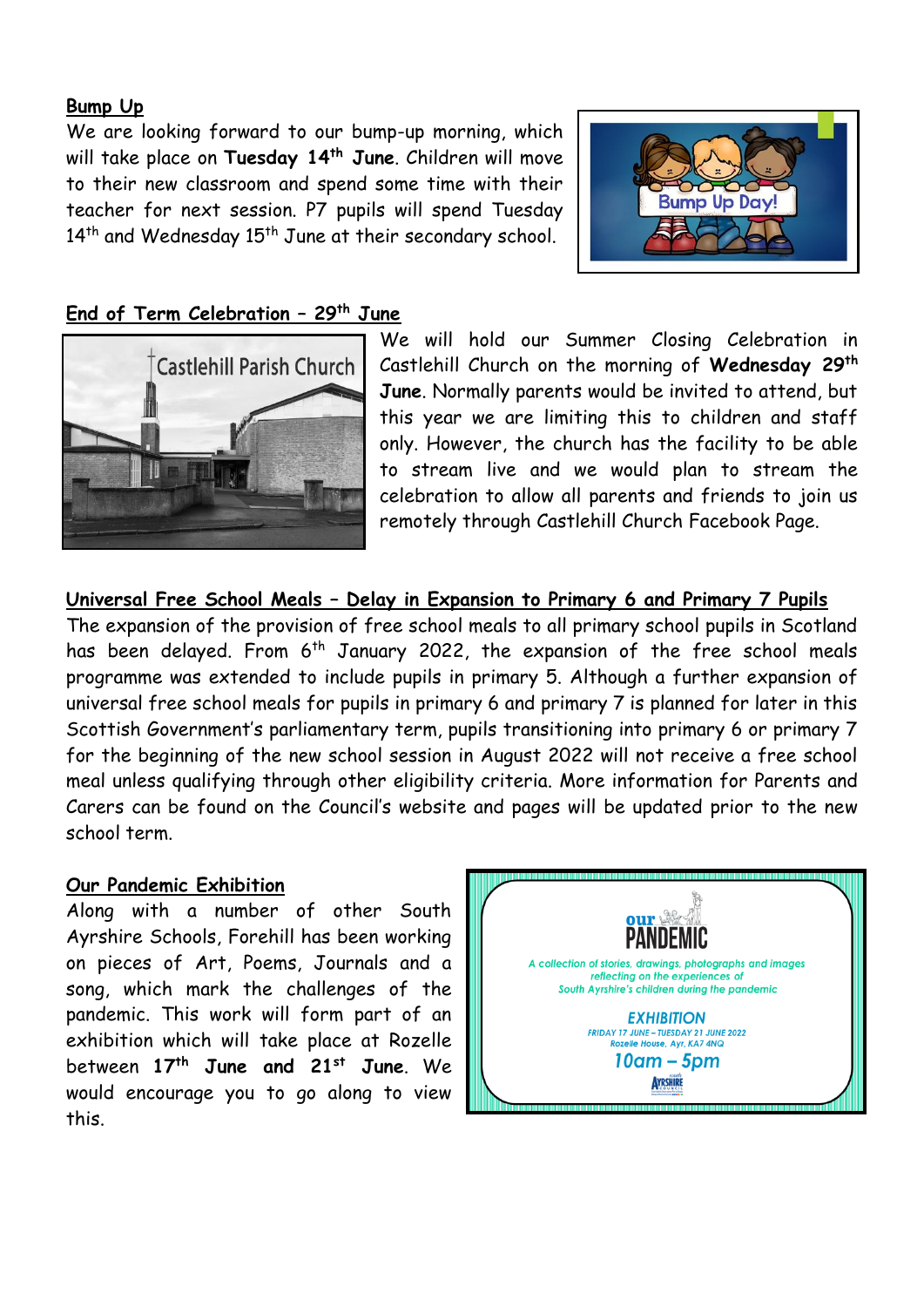#### **Bump Up**

We are looking forward to our bump-up morning, which will take place on **Tuesday 14th June**. Children will move to their new classroom and spend some time with their teacher for next session. P7 pupils will spend Tuesday  $14<sup>th</sup>$  and Wednesday  $15<sup>th</sup>$  June at their secondary school.



# **End of Term Celebration – 29th June**



We will hold our Summer Closing Celebration in Castlehill Church on the morning of **Wednesday 29th June**. Normally parents would be invited to attend, but this year we are limiting this to children and staff only. However, the church has the facility to be able to stream live and we would plan to stream the celebration to allow all parents and friends to join us remotely through Castlehill Church Facebook Page.

**Universal Free School Meals – Delay in Expansion to Primary 6 and Primary 7 Pupils**  The expansion of the provision of free school meals to all primary school pupils in Scotland has been delayed. From 6<sup>th</sup> January 2022, the expansion of the free school meals programme was extended to include pupils in primary 5. Although a further expansion of universal free school meals for pupils in primary 6 and primary 7 is planned for later in this Scottish Government's parliamentary term, pupils transitioning into primary 6 or primary 7 for the beginning of the new school session in August 2022 will not receive a free school meal unless qualifying through other eligibility criteria. More information for Parents and Carers can be found on the Council's website and pages will be updated prior to the new school term.

#### **Our Pandemic Exhibition**

Along with a number of other South Ayrshire Schools, Forehill has been working on pieces of Art, Poems, Journals and a song, which mark the challenges of the pandemic. This work will form part of an exhibition which will take place at Rozelle between **17th June and 21st June**. We would encourage you to go along to view this.

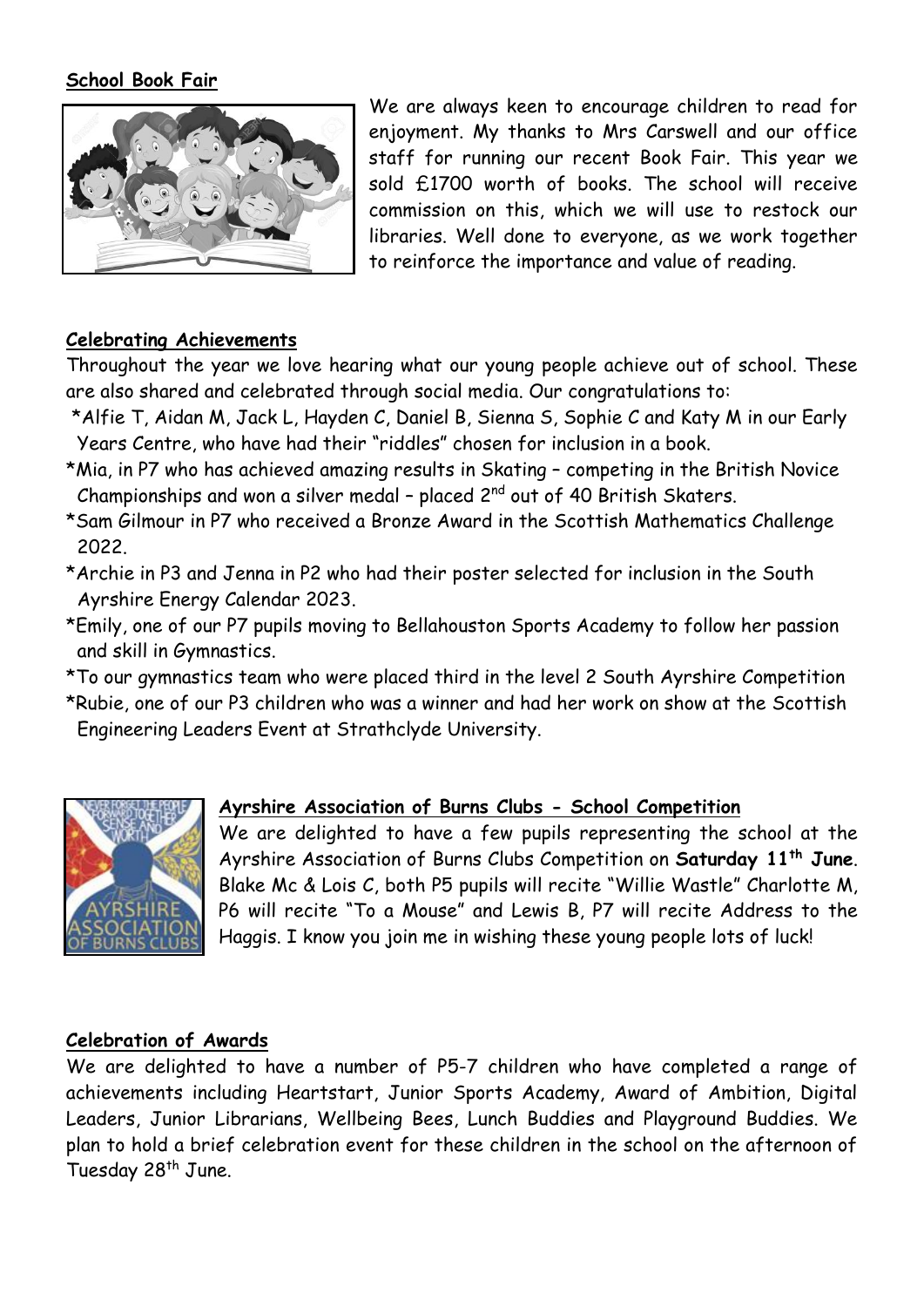#### **School Book Fair**



We are always keen to encourage children to read for enjoyment. My thanks to Mrs Carswell and our office staff for running our recent Book Fair. This year we sold £1700 worth of books. The school will receive commission on this, which we will use to restock our libraries. Well done to everyone, as we work together to reinforce the importance and value of reading.

#### **Celebrating Achievements**

Throughout the year we love hearing what our young people achieve out of school. These are also shared and celebrated through social media. Our congratulations to:

- \*Alfie T, Aidan M, Jack L, Hayden C, Daniel B, Sienna S, Sophie C and Katy M in our Early Years Centre, who have had their "riddles" chosen for inclusion in a book.
- \*Mia, in P7 who has achieved amazing results in Skating competing in the British Novice Championships and won a silver medal - placed  $2^{nd}$  out of 40 British Skaters.
- \*Sam Gilmour in P7 who received a Bronze Award in the Scottish Mathematics Challenge 2022.
- \*Archie in P3 and Jenna in P2 who had their poster selected for inclusion in the South Ayrshire Energy Calendar 2023.
- \*Emily, one of our P7 pupils moving to Bellahouston Sports Academy to follow her passion and skill in Gymnastics.
- \*To our gymnastics team who were placed third in the level 2 South Ayrshire Competition
- \*Rubie, one of our P3 children who was a winner and had her work on show at the Scottish Engineering Leaders Event at Strathclyde University.



# **Ayrshire Association of Burns Clubs - School Competition**

We are delighted to have a few pupils representing the school at the Ayrshire Association of Burns Clubs Competition on **Saturday 11 th June**. Blake Mc & Lois C, both P5 pupils will recite "Willie Wastle" Charlotte M, P6 will recite "To a Mouse" and Lewis B, P7 will recite Address to the Haggis. I know you join me in wishing these young people lots of luck!

#### **Celebration of Awards**

We are delighted to have a number of P5-7 children who have completed a range of achievements including Heartstart, Junior Sports Academy, Award of Ambition, Digital Leaders, Junior Librarians, Wellbeing Bees, Lunch Buddies and Playground Buddies. We plan to hold a brief celebration event for these children in the school on the afternoon of Tuesday 28<sup>th</sup> June.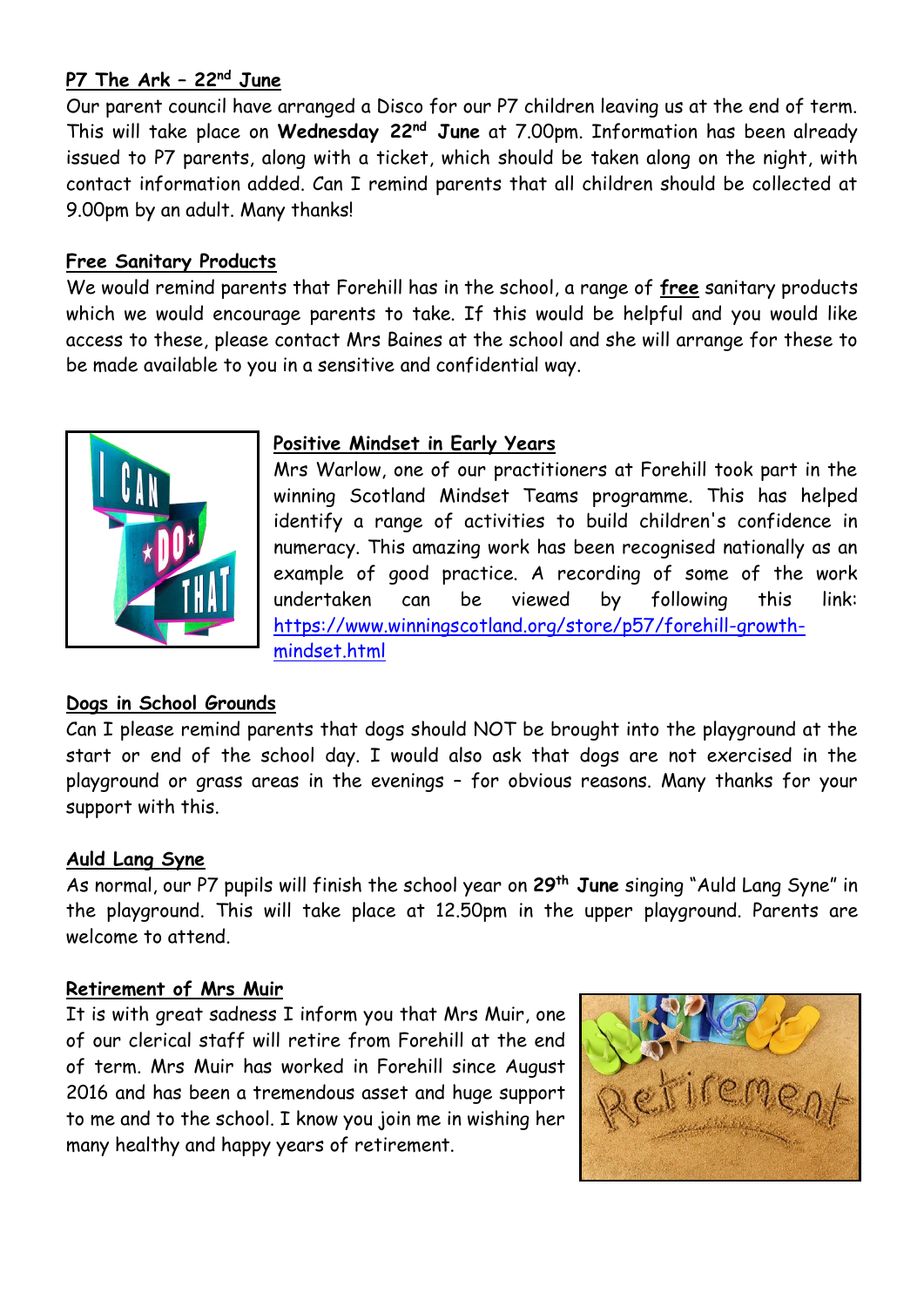# **P7 The Ark – 22nd June**

Our parent council have arranged a Disco for our P7 children leaving us at the end of term. This will take place on **Wednesday 22nd June** at 7.00pm. Information has been already issued to P7 parents, along with a ticket, which should be taken along on the night, with contact information added. Can I remind parents that all children should be collected at 9.00pm by an adult. Many thanks!

#### **Free Sanitary Products**

We would remind parents that Forehill has in the school, a range of **free** sanitary products which we would encourage parents to take. If this would be helpful and you would like access to these, please contact Mrs Baines at the school and she will arrange for these to be made available to you in a sensitive and confidential way.



#### **Positive Mindset in Early Years**

Mrs Warlow, one of our practitioners at Forehill took part in the winning Scotland Mindset Teams programme. This has helped identify a range of activities to build children's confidence in numeracy. This amazing work has been recognised nationally as an example of good practice. A recording of some of the work undertaken can be viewed by following this link: [https://www.winningscotland.org/store/p57/forehill-growth](https://www.winningscotland.org/store/p57/forehill-growth-mindset.html)[mindset.html](https://www.winningscotland.org/store/p57/forehill-growth-mindset.html)

# **Dogs in School Grounds**

Can I please remind parents that dogs should NOT be brought into the playground at the start or end of the school day. I would also ask that dogs are not exercised in the playground or grass areas in the evenings – for obvious reasons. Many thanks for your support with this.

#### **Auld Lang Syne**

As normal, our P7 pupils will finish the school year on **29th June** singing "Auld Lang Syne" in the playground. This will take place at 12.50pm in the upper playground. Parents are welcome to attend.

#### **Retirement of Mrs Muir**

It is with great sadness I inform you that Mrs Muir, one of our clerical staff will retire from Forehill at the end of term. Mrs Muir has worked in Forehill since August 2016 and has been a tremendous asset and huge support to me and to the school. I know you join me in wishing her many healthy and happy years of retirement.

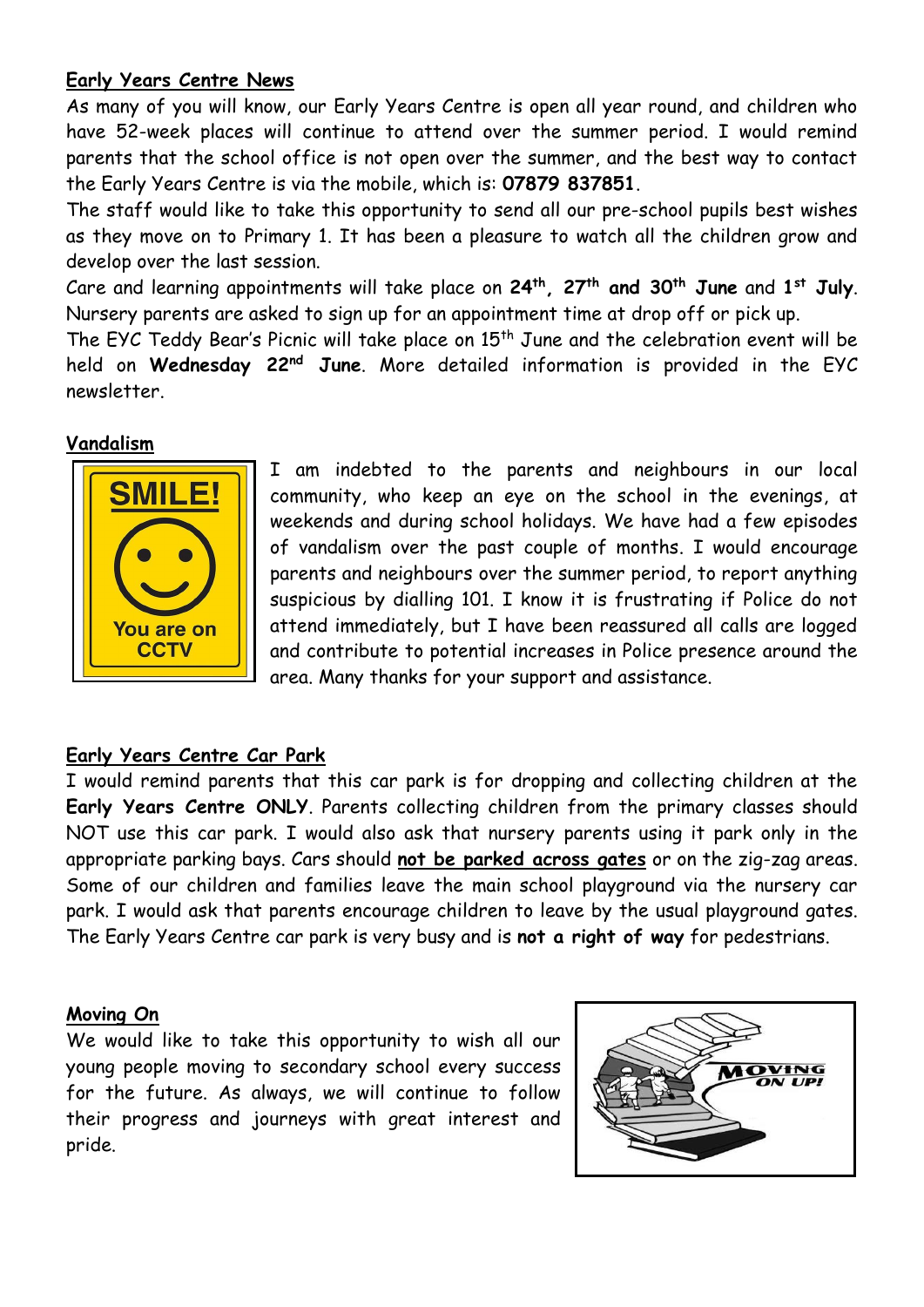# **Early Years Centre News**

As many of you will know, our Early Years Centre is open all year round, and children who have 52-week places will continue to attend over the summer period. I would remind parents that the school office is not open over the summer, and the best way to contact the Early Years Centre is via the mobile, which is: **07879 837851**.

The staff would like to take this opportunity to send all our pre-school pupils best wishes as they move on to Primary 1. It has been a pleasure to watch all the children grow and develop over the last session.

Care and learning appointments will take place on **24th, 27th and 30th June** and **1 st July**. Nursery parents are asked to sign up for an appointment time at drop off or pick up.

The EYC Teddy Bear's Picnic will take place on 15<sup>th</sup> June and the celebration event will be held on **Wednesday 22nd June**. More detailed information is provided in the EYC newsletter.

#### **Vandalism**



I am indebted to the parents and neighbours in our local community, who keep an eye on the school in the evenings, at weekends and during school holidays. We have had a few episodes of vandalism over the past couple of months. I would encourage parents and neighbours over the summer period, to report anything suspicious by dialling 101. I know it is frustrating if Police do not attend immediately, but I have been reassured all calls are logged and contribute to potential increases in Police presence around the area. Many thanks for your support and assistance.

# **Early Years Centre Car Park**

I would remind parents that this car park is for dropping and collecting children at the **Early Years Centre ONLY**. Parents collecting children from the primary classes should NOT use this car park. I would also ask that nursery parents using it park only in the appropriate parking bays. Cars should **not be parked across gates** or on the zig-zag areas. Some of our children and families leave the main school playground via the nursery car park. I would ask that parents encourage children to leave by the usual playground gates. The Early Years Centre car park is very busy and is **not a right of way** for pedestrians.

# **Moving On**

We would like to take this opportunity to wish all our young people moving to secondary school every success for the future. As always, we will continue to follow their progress and journeys with great interest and pride.

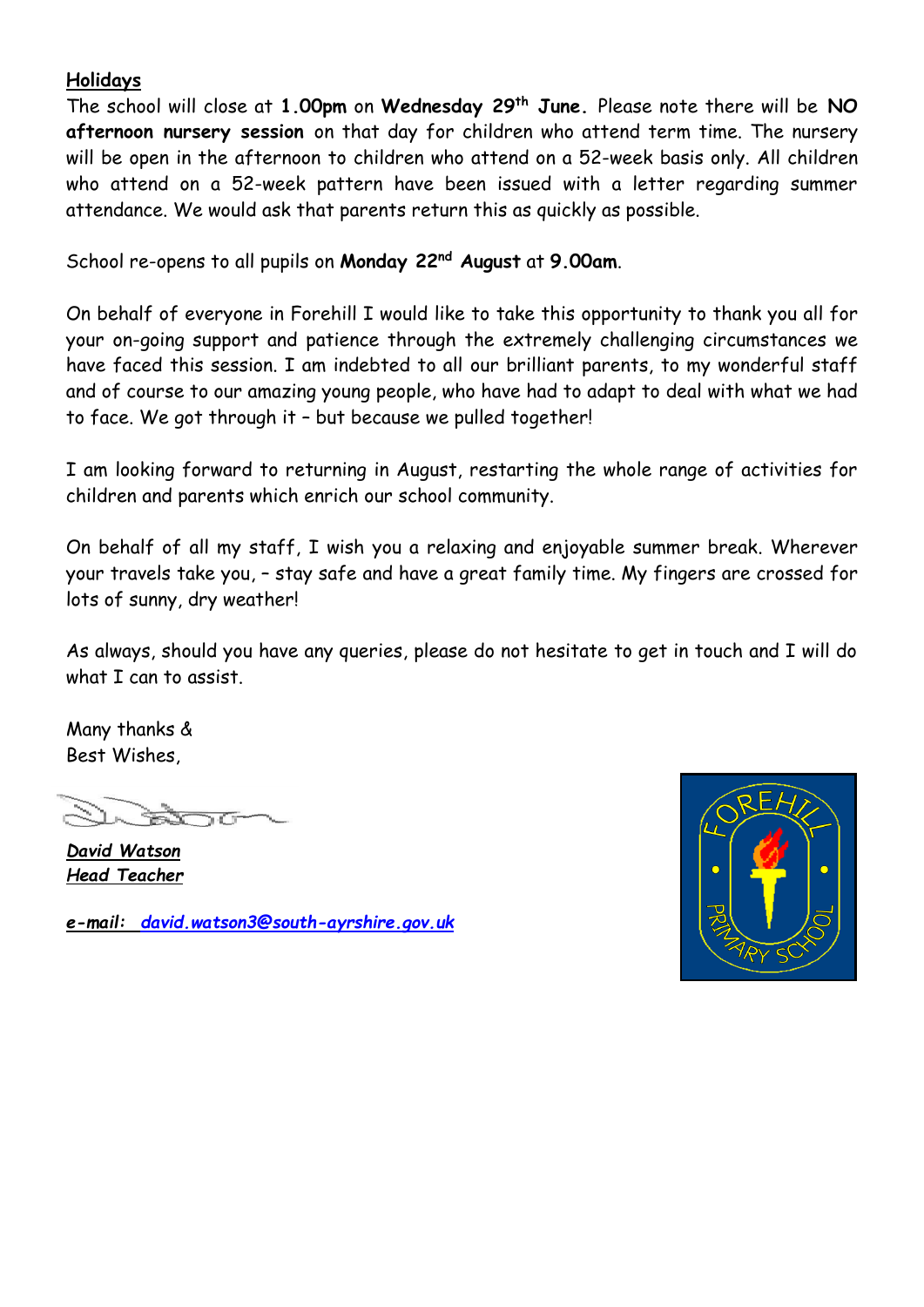# **Holidays**

The school will close at **1.00pm** on **Wednesday 29th June.** Please note there will be **NO afternoon nursery session** on that day for children who attend term time. The nursery will be open in the afternoon to children who attend on a 52-week basis only. All children who attend on a 52-week pattern have been issued with a letter regarding summer attendance. We would ask that parents return this as quickly as possible.

School re-opens to all pupils on **Monday 22nd August** at **9.00am**.

On behalf of everyone in Forehill I would like to take this opportunity to thank you all for your on-going support and patience through the extremely challenging circumstances we have faced this session. I am indebted to all our brilliant parents, to my wonderful staff and of course to our amazing young people, who have had to adapt to deal with what we had to face. We got through it – but because we pulled together!

I am looking forward to returning in August, restarting the whole range of activities for children and parents which enrich our school community.

On behalf of all my staff, I wish you a relaxing and enjoyable summer break. Wherever your travels take you, – stay safe and have a great family time. My fingers are crossed for lots of sunny, dry weather!

As always, should you have any queries, please do not hesitate to get in touch and I will do what I can to assist.

Many thanks & Best Wishes,

*David Watson Head Teacher*

*e-mail: [david.watson3@south-ayrshire.gov.uk](mailto:david.watson3@south-ayrshire.gov.uk)*

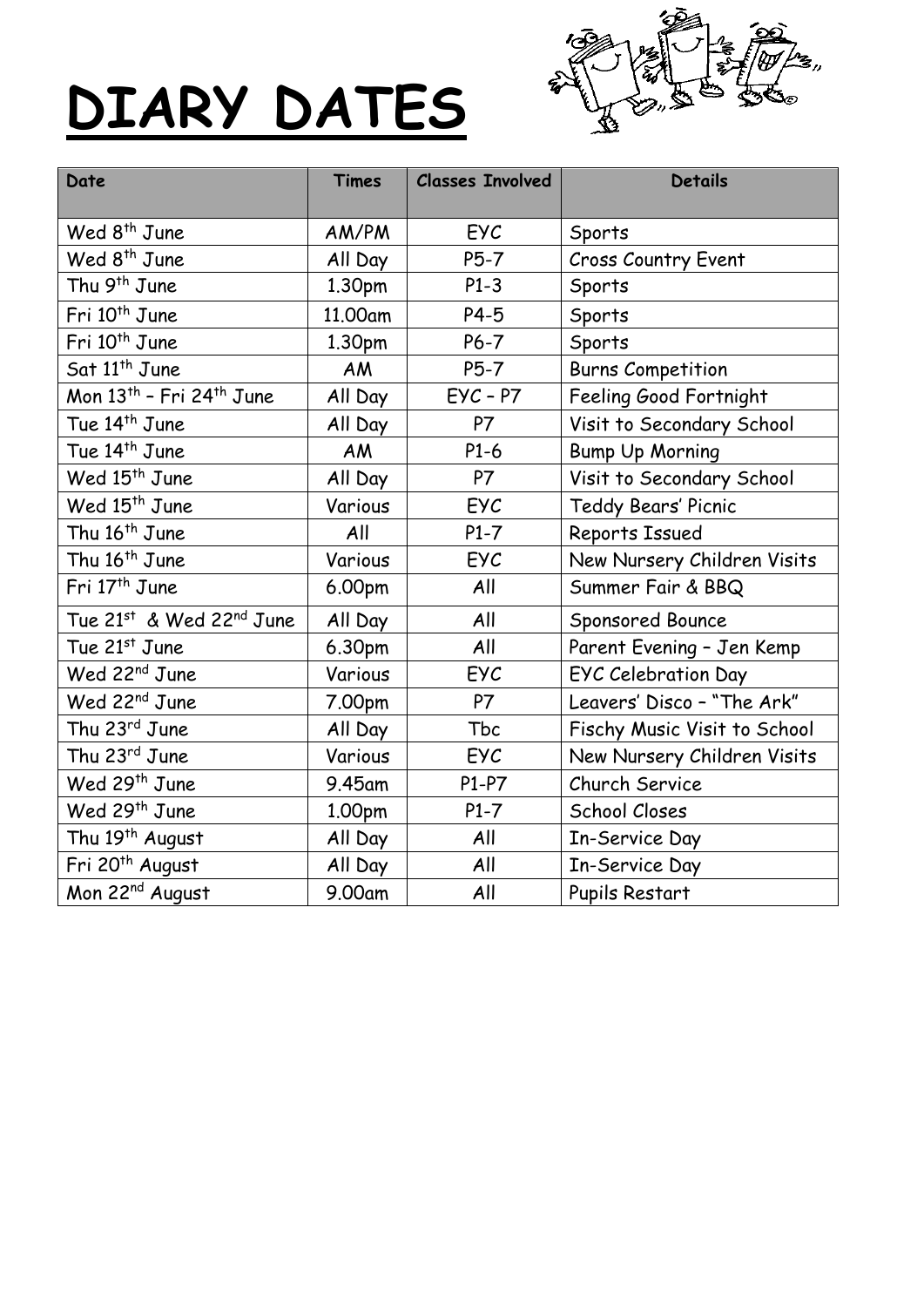# **DIARY DATES**



| Date                                                 | <b>Times</b> | <b>Classes Involved</b> | <b>Details</b>               |
|------------------------------------------------------|--------------|-------------------------|------------------------------|
| Wed 8 <sup>th</sup> June                             | AM/PM        | <b>EYC</b>              | Sports                       |
| Wed 8 <sup>th</sup> June                             | All Day      | $P5-7$                  | <b>Cross Country Event</b>   |
| Thu 9 <sup>th</sup> June                             | 1.30pm       | $P1-3$                  | Sports                       |
| Fri 10 <sup>th</sup> June                            | 11.00am      | $P4-5$                  | Sports                       |
| Fri 10 <sup>th</sup> June                            | 1.30pm       | $P6-7$                  | Sports                       |
| Sat 11 <sup>th</sup> June                            | AM           | $P5-7$                  | <b>Burns Competition</b>     |
| Mon $13$ <sup>th</sup> - Fri $24$ <sup>th</sup> June | All Day      | $EYC - P7$              | Feeling Good Fortnight       |
| Tue 14 <sup>th</sup> June                            | All Day      | P7                      | Visit to Secondary School    |
| Tue 14 <sup>th</sup> June                            | <b>AM</b>    | $P1-6$                  | <b>Bump Up Morning</b>       |
| Wed 15 <sup>th</sup> June                            | All Day      | P7                      | Visit to Secondary School    |
| Wed 15 <sup>th</sup> June                            | Various      | EYC                     | Teddy Bears' Picnic          |
| Thu 16 <sup>th</sup> June                            | All          | $P1-7$                  | Reports Issued               |
| Thu 16 <sup>th</sup> June                            | Various      | EYC                     | New Nursery Children Visits  |
| Fri 17 <sup>th</sup> June                            | 6.00pm       | All                     | Summer Fair & BBQ            |
| Tue 21st & Wed 22nd June                             | All Day      | All                     | Sponsored Bounce             |
| Tue 21st June                                        | 6.30pm       | All                     | Parent Evening - Jen Kemp    |
| Wed 22 <sup>nd</sup> June                            | Various      | EYC                     | EYC Celebration Day          |
| Wed 22 <sup>nd</sup> June                            | 7.00pm       | P7                      | Leavers' Disco - "The Ark"   |
| Thu 23rd June                                        | All Day      | Tbc                     | Fischy Music Visit to School |
| Thu 23rd June                                        | Various      | EYC                     | New Nursery Children Visits  |
| Wed 29 <sup>th</sup> June                            | 9.45am       | $P1-P7$                 | Church Service               |
| Wed 29 <sup>th</sup> June                            | 1.00pm       | $P1-7$                  | School Closes                |
| Thu 19 <sup>th</sup> August                          | All Day      | All                     | In-Service Day               |
| Fri 20 <sup>th</sup> August                          | All Day      | All                     | In-Service Day               |
| Mon 22 <sup>nd</sup> August                          | 9.00am       | All                     | Pupils Restart               |